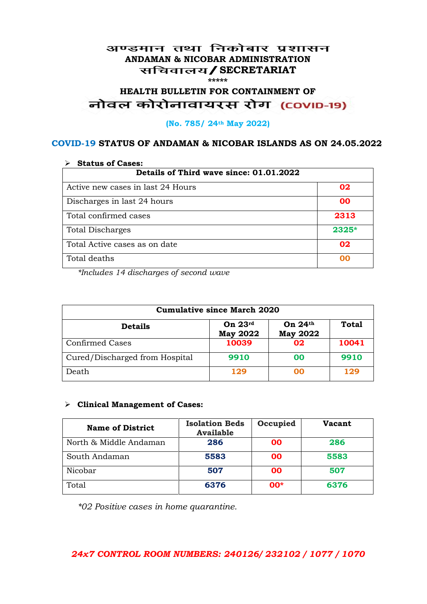#### अण्डमान तथा निकोबार प्रशासन **ANDAMAN & NICOBAR ADMINISTRATION /SECRETARIAT \*\*\*\*\***

# **HEALTH BULLETIN FOR CONTAINMENT OF**  नोवल कोरोनावायरस रोग (COVID-19)

#### **(No. 785/ 24th May 2022)**

#### **COVID-19 STATUS OF ANDAMAN & NICOBAR ISLANDS AS ON 24.05.2022**

| <b>Status of Cases:</b>                 |         |  |
|-----------------------------------------|---------|--|
| Details of Third wave since: 01.01.2022 |         |  |
| Active new cases in last 24 Hours       | 02      |  |
| Discharges in last 24 hours             | 00      |  |
| Total confirmed cases                   | 2313    |  |
| <b>Total Discharges</b>                 | $2325*$ |  |
| Total Active cases as on date           | 02      |  |
| Total deaths                            | OO      |  |

*\*Includes 14 discharges of second wave*

| <b>Cumulative since March 2020</b> |                              |                              |              |
|------------------------------------|------------------------------|------------------------------|--------------|
| <b>Details</b>                     | On $23rd$<br><b>May 2022</b> | On $24th$<br><b>May 2022</b> | <b>Total</b> |
| <b>Confirmed Cases</b>             | 10039                        | 02                           | 10041        |
| Cured/Discharged from Hospital     | 9910                         | 00                           | 9910         |
| Death                              | 129                          | 00                           | 129          |

#### **Clinical Management of Cases:**

| <b>Name of District</b> | <b>Isolation Beds</b><br><b>Available</b> | Occupied  | Vacant |
|-------------------------|-------------------------------------------|-----------|--------|
| North & Middle Andaman  | 286                                       | <b>OO</b> | 286    |
| South Andaman           | 5583                                      | <b>OO</b> | 5583   |
| Nicobar                 | 507                                       | <b>OO</b> | 507    |
| Total                   | 6376                                      | $00*$     | 6376   |

*\*02 Positive cases in home quarantine.*

#### *24x7 CONTROL ROOM NUMBERS: 240126/ 232102 / 1077 / 1070*